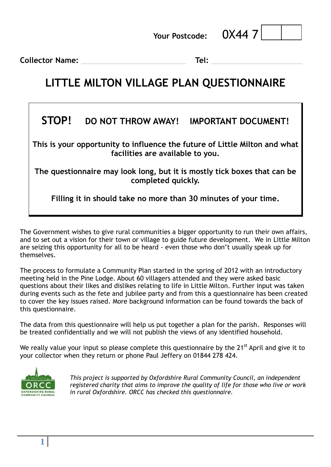**Your Postcode:** 0X44 7



**Collector Name: \_\_\_\_\_\_\_\_\_\_\_\_\_\_\_\_\_\_\_\_\_\_\_ Tel: \_\_\_\_\_\_\_\_\_\_\_\_\_\_\_\_\_\_\_\_**

### **LITTLE MILTON VILLAGE PLAN QUESTIONNAIRE**

#### **STOP! DO NOT THROW AWAY! IMPORTANT DOCUMENT!**

**This is your opportunity to influence the future of Little Milton and what facilities are available to you.**

**The questionnaire may look long, but it is mostly tick boxes that can be completed quickly.**

**Filling it in should take no more than 30 minutes of your time.** 

The Government wishes to give rural communities a bigger opportunity to run their own affairs, and to set out a vision for their town or village to guide future development. We in Little Milton are seizing this opportunity for all to be heard - even those who don't usually speak up for themselves.

The process to formulate a Community Plan started in the spring of 2012 with an introductory meeting held in the Pine Lodge. About 60 villagers attended and they were asked basic questions about their likes and dislikes relating to life in Little Milton. Further input was taken during events such as the fete and jubilee party and from this a questionnaire has been created to cover the key issues raised. More background information can be found towards the back of this questionnaire.

The data from this questionnaire will help us put together a plan for the parish. Responses will be treated confidentially and we will not publish the views of any identified household.

We really value your input so please complete this questionnaire by the 21<sup>st</sup> April and give it to your collector when they return or phone Paul Jeffery on 01844 278 424.



*This project is supported by Oxfordshire Rural Community Council, an independent registered charity that aims to improve the quality of life for those who live or work in rural Oxfordshire. ORCC has checked this questionnaire.*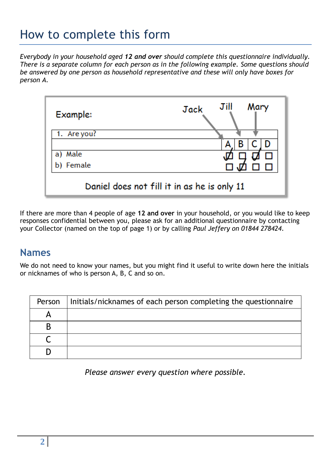## How to complete this form

*Everybody in your household aged 12 and over should complete this questionnaire individually. There is a separate column for each person as in the following example. Some questions should be answered by one person as household representative and these will only have boxes for person A.*



If there are more than 4 people of age **12 and over** in your household, or you would like to keep responses confidential between you, please ask for an additional questionnaire by contacting your Collector (named on the top of page 1) or by calling *Paul Jeffery on 01844 278424*.

#### **Names**

We do not need to know your names, but you might find it useful to write down here the initials or nicknames of who is person A, B, C and so on.

| Person | Initials/nicknames of each person completing the questionnaire |
|--------|----------------------------------------------------------------|
|        |                                                                |
|        |                                                                |
|        |                                                                |
|        |                                                                |

*Please answer every question where possible.*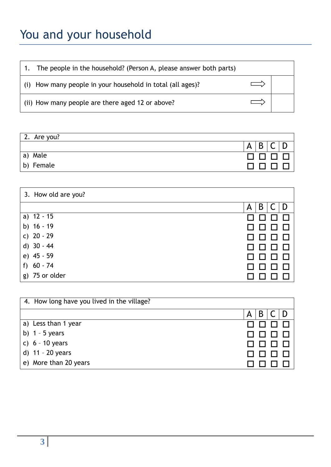## You and your household

1. The people in the household? (Person A, please answer both parts)

(i) How many people in your household in total (all ages)?

|  |  |  | (ii) How many people are there aged 12 or above? |  |  |  |  |  |  |
|--|--|--|--------------------------------------------------|--|--|--|--|--|--|
|--|--|--|--------------------------------------------------|--|--|--|--|--|--|

| 2. Are you? |             |
|-------------|-------------|
|             | B<br>A<br>∼ |
| a) Male     |             |
| b) Female   |             |

 $\Longrightarrow$ 

 $\implies$ 

| 3. How old are you? |        |
|---------------------|--------|
|                     | B<br>A |
| a) $12 - 15$        |        |
| b) $16 - 19$        |        |
| c) $20 - 29$        |        |
| d) $30 - 44$        |        |
| e) 45 - 59          |        |
| f) $60 - 74$        |        |
| g) 75 or older      |        |

| 4. How long have you lived in the village? |   |
|--------------------------------------------|---|
|                                            | B |
| a) Less than 1 year                        |   |
| b) $1 - 5$ years                           |   |
| c) $6 - 10$ years                          |   |
| d) 11 - 20 years                           |   |
| e) More than 20 years                      |   |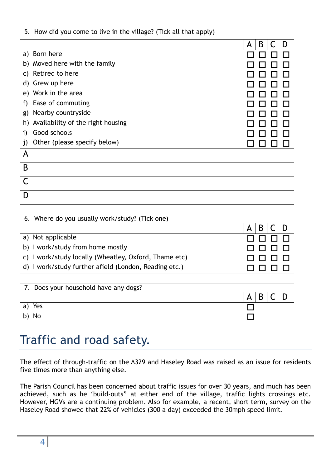| 5. How did you come to live in the village? (Tick all that apply) |             |
|-------------------------------------------------------------------|-------------|
|                                                                   | B<br>D<br>A |
| a) Born here                                                      |             |
| b) Moved here with the family                                     |             |
| Retired to here<br>C)                                             |             |
| d) Grew up here                                                   |             |
| e) Work in the area                                               |             |
| Ease of commuting<br>f)                                           |             |
| Nearby countryside<br>g)                                          |             |
| Availability of the right housing<br>h)                           |             |
| Good schools<br>i)                                                |             |
| Other (please specify below)<br>j)                                |             |
| A                                                                 |             |
| B                                                                 |             |
|                                                                   |             |
| D                                                                 |             |

| 6. Where do you usually work/study? (Tick one)        |   |
|-------------------------------------------------------|---|
|                                                       | B |
| a) Not applicable                                     |   |
| b) I work/study from home mostly                      |   |
| c) I work/study locally (Wheatley, Oxford, Thame etc) |   |
| d) I work/study further afield (London, Reading etc.) |   |
|                                                       |   |

| 7. Does your household have any dogs? |   |
|---------------------------------------|---|
|                                       | A |
| Yes<br>a)                             |   |
| b) No                                 |   |

## Traffic and road safety.

The effect of through-traffic on the A329 and Haseley Road was raised as an issue for residents five times more than anything else.

The Parish Council has been concerned about traffic issues for over 30 years, and much has been achieved, such as he 'build-outs" at either end of the village, traffic lights crossings etc. However, HGVs are a continuing problem. Also for example, a recent, short term, survey on the Haseley Road showed that 22% of vehicles (300 a day) exceeded the 30mph speed limit.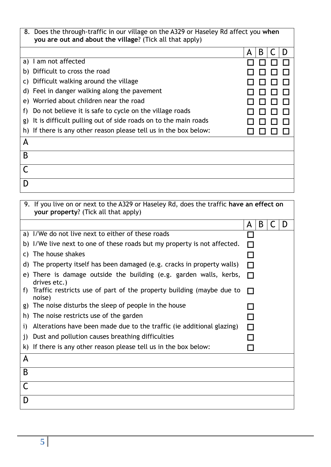| 8. Does the through-traffic in our village on the A329 or Haseley Rd affect you when<br>you are out and about the village? (Tick all that apply) |        |
|--------------------------------------------------------------------------------------------------------------------------------------------------|--------|
|                                                                                                                                                  | B<br>A |
| I am not affected<br>a)                                                                                                                          |        |
| b) Difficult to cross the road                                                                                                                   |        |
| Difficult walking around the village<br>C)                                                                                                       |        |
| d) Feel in danger walking along the pavement                                                                                                     |        |
| e) Worried about children near the road                                                                                                          |        |
| Do not believe it is safe to cycle on the village roads<br>f)                                                                                    |        |
| It is difficult pulling out of side roads on to the main roads<br>g)                                                                             |        |
| If there is any other reason please tell us in the box below:<br>h)                                                                              |        |
| Α                                                                                                                                                |        |
| B                                                                                                                                                |        |
|                                                                                                                                                  |        |
| D                                                                                                                                                |        |

|              | 9. If you live on or next to the A329 or Haseley Rd, does the traffic have an effect on<br>your property? (Tick all that apply) |        |   |   |
|--------------|---------------------------------------------------------------------------------------------------------------------------------|--------|---|---|
|              |                                                                                                                                 | A      | B | D |
|              | a) I/We do not live next to either of these roads                                                                               |        |   |   |
|              | b) I/We live next to one of these roads but my property is not affected.                                                        |        |   |   |
| C)           | The house shakes                                                                                                                |        |   |   |
|              | d) The property itself has been damaged (e.g. cracks in property walls)                                                         | ⊓      |   |   |
|              | e) There is damage outside the building (e.g. garden walls, kerbs,<br>drives etc.)                                              | $\Box$ |   |   |
| f).          | Traffic restricts use of part of the property building (maybe due to<br>noise)                                                  |        |   |   |
| g)           | The noise disturbs the sleep of people in the house                                                                             |        |   |   |
| h)           | The noise restricts use of the garden                                                                                           |        |   |   |
| i)           | Alterations have been made due to the traffic (ie additional glazing)                                                           | ⊓      |   |   |
| $\mathbf{j}$ | Dust and pollution causes breathing difficulties                                                                                |        |   |   |
| k)           | If there is any other reason please tell us in the box below:                                                                   |        |   |   |
| A            |                                                                                                                                 |        |   |   |
| B            |                                                                                                                                 |        |   |   |
| C            |                                                                                                                                 |        |   |   |
| D            |                                                                                                                                 |        |   |   |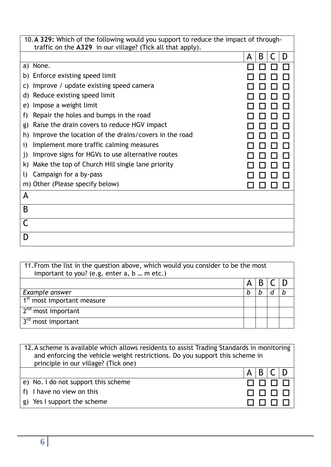| 10. A 329: Which of the following would you support to reduce the impact of through- |             |  |  |  |  |  |
|--------------------------------------------------------------------------------------|-------------|--|--|--|--|--|
| traffic on the A329 in our village? (Tick all that apply).                           |             |  |  |  |  |  |
|                                                                                      | B<br>A<br>D |  |  |  |  |  |
| a) None.                                                                             |             |  |  |  |  |  |
| Enforce existing speed limit<br>b)                                                   |             |  |  |  |  |  |
| Improve / update existing speed camera<br>C)                                         |             |  |  |  |  |  |
| Reduce existing speed limit<br>d)                                                    |             |  |  |  |  |  |
| Impose a weight limit<br>e)                                                          |             |  |  |  |  |  |
| Repair the holes and bumps in the road<br>f)                                         |             |  |  |  |  |  |
| Raise the drain covers to reduce HGV impact<br>g)                                    |             |  |  |  |  |  |
| Improve the location of the drains/covers in the road<br>h)                          |             |  |  |  |  |  |
| Implement more traffic calming measures<br>i)                                        |             |  |  |  |  |  |
| Improve signs for HGVs to use alternative routes<br>j)                               |             |  |  |  |  |  |
| Make the top of Church Hill single lane priority<br>k)                               |             |  |  |  |  |  |
| Campaign for a by-pass<br>I)                                                         |             |  |  |  |  |  |
| m) Other (Please specify below)                                                      |             |  |  |  |  |  |
| A                                                                                    |             |  |  |  |  |  |
| B                                                                                    |             |  |  |  |  |  |
|                                                                                      |             |  |  |  |  |  |
|                                                                                      |             |  |  |  |  |  |
|                                                                                      |             |  |  |  |  |  |

| 11. From the list in the question above, which would you consider to be the most<br>important to you? (e.g. enter a, b  m etc.) |   |   |  |  |  |
|---------------------------------------------------------------------------------------------------------------------------------|---|---|--|--|--|
|                                                                                                                                 | Α | B |  |  |  |
| Example answer                                                                                                                  | b | b |  |  |  |
| 1 <sup>st</sup> most important measure                                                                                          |   |   |  |  |  |
| 2 <sup>nd</sup> most important                                                                                                  |   |   |  |  |  |
| $3rd$ most important                                                                                                            |   |   |  |  |  |

| 12. A scheme is available which allows residents to assist Trading Standards in monitoring<br>and enforcing the vehicle weight restrictions. Do you support this scheme in<br>principle in our village? (Tick one) |   |                    |  |  |
|--------------------------------------------------------------------------------------------------------------------------------------------------------------------------------------------------------------------|---|--------------------|--|--|
|                                                                                                                                                                                                                    | A | $B \, \mathsf{IC}$ |  |  |
| e) No. I do not support this scheme                                                                                                                                                                                |   |                    |  |  |
| f) I have no view on this                                                                                                                                                                                          |   |                    |  |  |
| g) Yes I support the scheme                                                                                                                                                                                        |   |                    |  |  |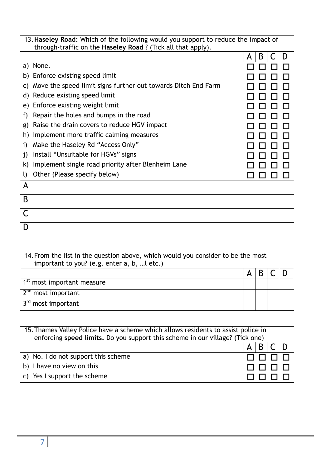| 13. Haseley Road: Which of the following would you support to reduce the impact of<br>through-traffic on the Haseley Road? (Tick all that apply). |                                                               |             |  |  |
|---------------------------------------------------------------------------------------------------------------------------------------------------|---------------------------------------------------------------|-------------|--|--|
|                                                                                                                                                   |                                                               | B<br>D<br>A |  |  |
| None.<br>a)                                                                                                                                       |                                                               |             |  |  |
| b)                                                                                                                                                | Enforce existing speed limit                                  |             |  |  |
| C)                                                                                                                                                | Move the speed limit signs further out towards Ditch End Farm |             |  |  |
| d)                                                                                                                                                | Reduce existing speed limit                                   |             |  |  |
| e)                                                                                                                                                | Enforce existing weight limit                                 |             |  |  |
| f)                                                                                                                                                | Repair the holes and bumps in the road                        |             |  |  |
| g)                                                                                                                                                | Raise the drain covers to reduce HGV impact                   |             |  |  |
| h)                                                                                                                                                | Implement more traffic calming measures                       |             |  |  |
| i)                                                                                                                                                | Make the Haseley Rd "Access Only"                             |             |  |  |
| j)                                                                                                                                                | Install "Unsuitable for HGVs" signs                           |             |  |  |
| k)                                                                                                                                                | Implement single road priority after Blenheim Lane            |             |  |  |
| $\mathbf{U}$                                                                                                                                      | Other (Please specify below)                                  |             |  |  |
| A                                                                                                                                                 |                                                               |             |  |  |
| B                                                                                                                                                 |                                                               |             |  |  |
|                                                                                                                                                   |                                                               |             |  |  |
| D                                                                                                                                                 |                                                               |             |  |  |

| 14. From the list in the question above, which would you consider to be the most<br>important to you? (e.g. enter a, b,  l etc.) |  |  |  |  |
|----------------------------------------------------------------------------------------------------------------------------------|--|--|--|--|
|                                                                                                                                  |  |  |  |  |
| 1 <sup>st</sup> most important measure                                                                                           |  |  |  |  |
| $\sqrt{2^{nd}}$ most important                                                                                                   |  |  |  |  |
| 3 <sup>rd</sup> most important                                                                                                   |  |  |  |  |

| 15. Thames Valley Police have a scheme which allows residents to assist police in |                                     |  |
|-----------------------------------------------------------------------------------|-------------------------------------|--|
| enforcing speed limits. Do you support this scheme in our village? (Tick one)     |                                     |  |
|                                                                                   |                                     |  |
| a) No. I do not support this scheme                                               |                                     |  |
| b) I have no view on this                                                         | $\sqcap$ $\sqcap$ $\sqcap$ $\sqcap$ |  |
| c) Yes I support the scheme                                                       |                                     |  |
|                                                                                   |                                     |  |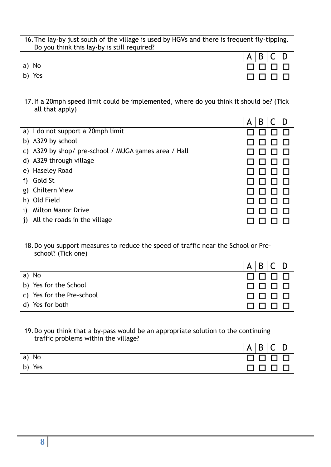| 16. The lay-by just south of the village is used by HGVs and there is frequent fly-tipping.<br>Do you think this lay-by is still required? |  |                 |  |
|--------------------------------------------------------------------------------------------------------------------------------------------|--|-----------------|--|
|                                                                                                                                            |  |                 |  |
|                                                                                                                                            |  | $A$ $B$ $C$ $D$ |  |
| a) No                                                                                                                                      |  |                 |  |
| b) Yes                                                                                                                                     |  | 0000            |  |

|    | 17. If a 20mph speed limit could be implemented, where do you think it should be? (Tick<br>all that apply) |        |  |
|----|------------------------------------------------------------------------------------------------------------|--------|--|
|    |                                                                                                            | B<br>А |  |
|    | a) I do not support a 20mph limit                                                                          |        |  |
|    | b) A329 by school                                                                                          |        |  |
|    | c) A329 by shop/ pre-school / MUGA games area / Hall                                                       |        |  |
|    | d) A329 through village                                                                                    |        |  |
|    | e) Haseley Road                                                                                            |        |  |
| t) | Gold St                                                                                                    |        |  |
|    | g) Chiltern View                                                                                           |        |  |
| h) | Old Field                                                                                                  |        |  |
|    | <b>Milton Manor Drive</b>                                                                                  |        |  |
|    | All the roads in the village                                                                               |        |  |

|              | 18. Do you support measures to reduce the speed of traffic near the School or Pre-<br>school? (Tick one) |   |   |  |
|--------------|----------------------------------------------------------------------------------------------------------|---|---|--|
|              |                                                                                                          | Α | B |  |
|              | a) No                                                                                                    |   |   |  |
|              | b) Yes for the School                                                                                    |   |   |  |
|              | c) Yes for the Pre-school                                                                                |   |   |  |
| $\mathsf{d}$ | Yes for both                                                                                             |   |   |  |

| 19. Do you think that a by-pass would be an appropriate solution to the continuing<br>traffic problems within the village? |               |
|----------------------------------------------------------------------------------------------------------------------------|---------------|
|                                                                                                                            | A   B   C   D |
| a) No                                                                                                                      | 0000          |
| b) Yes                                                                                                                     | ПППП          |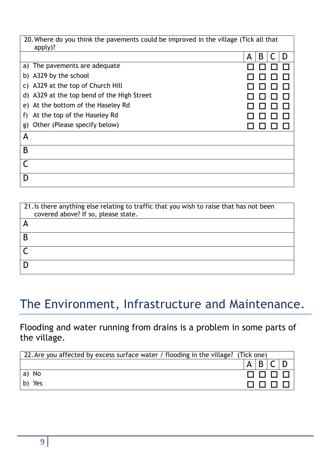| 20. Where do you think the pavements could be improved in the village (Tick all that<br>apply)? |        |  |  |  |
|-------------------------------------------------------------------------------------------------|--------|--|--|--|
|                                                                                                 | B<br>А |  |  |  |
| a) The pavements are adequate                                                                   |        |  |  |  |
| b) A329 by the school                                                                           |        |  |  |  |
| c) A329 at the top of Church Hill                                                               |        |  |  |  |
| d) A329 at the top bend of the High Street                                                      |        |  |  |  |
| At the bottom of the Haseley Rd<br>e)                                                           |        |  |  |  |
| At the top of the Haseley Rd<br>f)                                                              |        |  |  |  |
| Other (Please specify below)<br>g)                                                              |        |  |  |  |
| A                                                                                               |        |  |  |  |
| B                                                                                               |        |  |  |  |
|                                                                                                 |        |  |  |  |
| D                                                                                               |        |  |  |  |
|                                                                                                 |        |  |  |  |

| 21. Is there anything else relating to traffic that you wish to raise that has not been<br>covered above? If so, please state. |
|--------------------------------------------------------------------------------------------------------------------------------|
|                                                                                                                                |
| B                                                                                                                              |
|                                                                                                                                |
|                                                                                                                                |

## The Environment, Infrastructure and Maintenance.

Flooding and water running from drains is a problem in some parts of the village.

| 22. Are you affected by excess surface water / flooding in the village? (Tick one) |  |
|------------------------------------------------------------------------------------|--|
|                                                                                    |  |
| a) No                                                                              |  |
| Yes<br>b)                                                                          |  |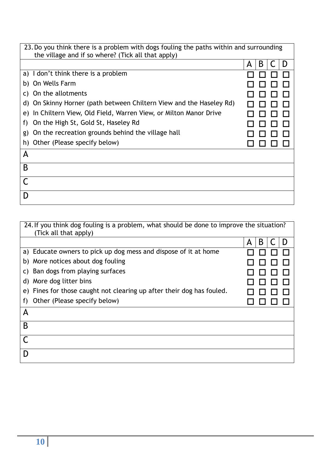| 23. Do you think there is a problem with dogs fouling the paths within and surrounding<br>the village and if so where? (Tick all that apply) |        |  |  |  |
|----------------------------------------------------------------------------------------------------------------------------------------------|--------|--|--|--|
|                                                                                                                                              | B<br>A |  |  |  |
| a) I don't think there is a problem                                                                                                          |        |  |  |  |
| b) On Wells Farm                                                                                                                             |        |  |  |  |
| On the allotments<br>C)                                                                                                                      |        |  |  |  |
| d) On Skinny Horner (path between Chiltern View and the Haseley Rd)                                                                          |        |  |  |  |
| In Chiltern View, Old Field, Warren View, or Milton Manor Drive<br>e)                                                                        |        |  |  |  |
| On the High St, Gold St, Haseley Rd<br>f)                                                                                                    |        |  |  |  |
| On the recreation grounds behind the village hall<br>g)                                                                                      |        |  |  |  |
| h) Other (Please specify below)                                                                                                              |        |  |  |  |
| A                                                                                                                                            |        |  |  |  |
| B                                                                                                                                            |        |  |  |  |
|                                                                                                                                              |        |  |  |  |
| D                                                                                                                                            |        |  |  |  |

| 24. If you think dog fouling is a problem, what should be done to improve the situation? |        |
|------------------------------------------------------------------------------------------|--------|
| (Tick all that apply)                                                                    |        |
|                                                                                          | B<br>A |
| a) Educate owners to pick up dog mess and dispose of it at home                          |        |
| b) More notices about dog fouling                                                        |        |
| c) Ban dogs from playing surfaces                                                        |        |
| d) More dog litter bins                                                                  |        |
| e) Fines for those caught not clearing up after their dog has fouled.                    |        |
| Other (Please specify below)<br>f)                                                       |        |
| A                                                                                        |        |
| B                                                                                        |        |
|                                                                                          |        |
|                                                                                          |        |
|                                                                                          |        |
|                                                                                          |        |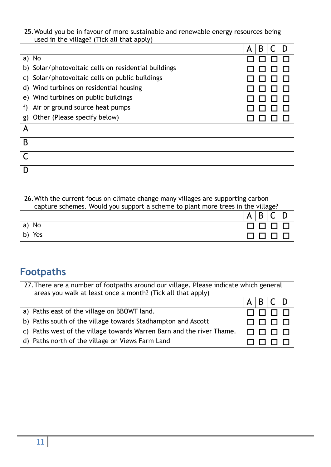|          | 25. Would you be in favour of more sustainable and renewable energy resources being<br>used in the village? (Tick all that apply) |        |
|----------|-----------------------------------------------------------------------------------------------------------------------------------|--------|
|          |                                                                                                                                   | B<br>Α |
| No<br>a) |                                                                                                                                   |        |
|          | b) Solar/photovoltaic cells on residential buildings                                                                              |        |
| C)       | Solar/photovoltaic cells on public buildings                                                                                      |        |
| d)       | Wind turbines on residential housing                                                                                              |        |
| e)       | Wind turbines on public buildings                                                                                                 |        |
| f)       | Air or ground source heat pumps                                                                                                   |        |
| g)       | Other (Please specify below)                                                                                                      |        |
| А        |                                                                                                                                   |        |
| B        |                                                                                                                                   |        |
|          |                                                                                                                                   |        |
| D        |                                                                                                                                   |        |

| 26. With the current focus on climate change many villages are supporting carbon<br>capture schemes. Would you support a scheme to plant more trees in the village? |              |        |  |
|---------------------------------------------------------------------------------------------------------------------------------------------------------------------|--------------|--------|--|
|                                                                                                                                                                     | $\mathsf{A}$ |        |  |
| a) No                                                                                                                                                               |              | $\Box$ |  |
| b) Yes                                                                                                                                                              |              |        |  |

## **Footpaths**

| 27. There are a number of footpaths around our village. Please indicate which general<br>areas you walk at least once a month? (Tick all that apply) |                         |  |
|------------------------------------------------------------------------------------------------------------------------------------------------------|-------------------------|--|
|                                                                                                                                                      | $B \, \mathsf{IC}$<br>А |  |
| a) Paths east of the village on BBOWT land.                                                                                                          |                         |  |
| b) Paths south of the village towards Stadhampton and Ascott                                                                                         |                         |  |
| c) Paths west of the village towards Warren Barn and the river Thame.                                                                                |                         |  |
| d) Paths north of the village on Views Farm Land                                                                                                     |                         |  |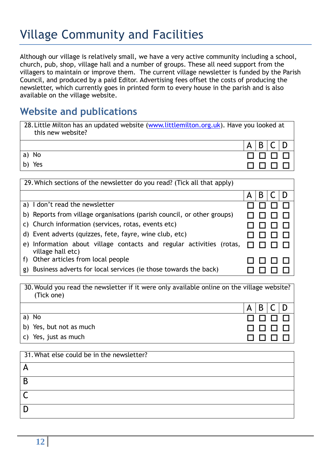## Village Community and Facilities

Although our village is relatively small, we have a very active community including a school, church, pub, shop, village hall and a number of groups. These all need support from the villagers to maintain or improve them. The current village newsletter is funded by the Parish Council, and produced by a paid Editor. Advertising fees offset the costs of producing the newsletter, which currently goes in printed form to every house in the parish and is also available on the village website.

#### **Website and publications**

| 28. Little Milton has an updated website (www.littlemilton.org.uk). Have you looked at<br>this new website? |                 |
|-------------------------------------------------------------------------------------------------------------|-----------------|
|                                                                                                             | B C D<br>A      |
| a) No                                                                                                       | 0000            |
| b) Yes                                                                                                      | <u>FIFIFIFI</u> |

| 29. Which sections of the newsletter do you read? (Tick all that apply)                   |        |  |
|-------------------------------------------------------------------------------------------|--------|--|
|                                                                                           | B<br>Α |  |
| a) I don't read the newsletter                                                            |        |  |
| b) Reports from village organisations (parish council, or other groups)                   |        |  |
| c) Church information (services, rotas, events etc)                                       |        |  |
| d) Event adverts (quizzes, fete, fayre, wine club, etc)                                   |        |  |
| e) Information about village contacts and regular activities (rotas,<br>village hall etc) |        |  |
| Other articles from local people<br>f)                                                    |        |  |
| Business adverts for local services (ie those towards the back)<br>g)                     |        |  |

| 30. Would you read the newsletter if it were only available online on the village website?<br>(Tick one) |     |                    |  |
|----------------------------------------------------------------------------------------------------------|-----|--------------------|--|
|                                                                                                          | A l | $B \, \mathsf{IC}$ |  |
| a) No                                                                                                    |     | 0000               |  |
| b) Yes, but not as much                                                                                  |     | 888888             |  |
| c) Yes, just as much                                                                                     |     |                    |  |

| 31. What else could be in the newsletter? |
|-------------------------------------------|
|                                           |
| B                                         |
|                                           |
|                                           |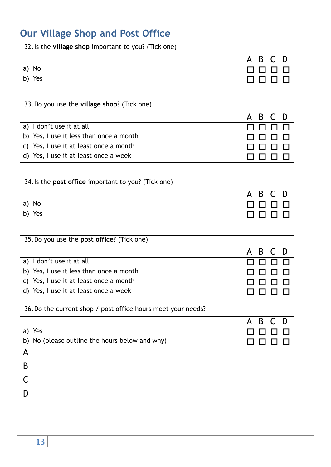## **Our Village Shop and Post Office**

| 32. Is the village shop important to you? (Tick one) |   |
|------------------------------------------------------|---|
|                                                      | A |
| a) No                                                |   |
| Yes<br>b)                                            |   |

| 33. Do you use the village shop? (Tick one) |              |
|---------------------------------------------|--------------|
|                                             | B.<br>A      |
| a) I don't use it at all                    |              |
| b) Yes, I use it less than once a month     | $\mathbf{L}$ |
| c) Yes, I use it at least once a month      |              |
| d) Yes, I use it at least once a week       |              |

| 34. Is the post office important to you? (Tick one) |   |
|-----------------------------------------------------|---|
|                                                     | A |
| a) No                                               |   |
| Yes<br>b)                                           |   |

| 35. Do you use the post office? (Tick one) |        |
|--------------------------------------------|--------|
|                                            | B<br>А |
| a) I don't use it at all                   |        |
| b) Yes, I use it less than once a month    |        |
| c) Yes, I use it at least once a month     |        |
| d) Yes, I use it at least once a week      |        |

| 36. Do the current shop / post office hours meet your needs? |        |
|--------------------------------------------------------------|--------|
|                                                              | B<br>A |
| a) Yes                                                       |        |
| b) No (please outline the hours below and why)               |        |
| Α                                                            |        |
| B                                                            |        |
|                                                              |        |
|                                                              |        |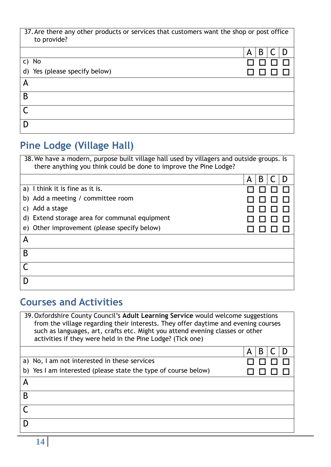| 37. Are there any other products or services that customers want the shop or post office<br>to provide? |        |  |
|---------------------------------------------------------------------------------------------------------|--------|--|
|                                                                                                         | B<br>А |  |
| c) No                                                                                                   |        |  |
| d) Yes (please specify below)                                                                           |        |  |
| Α                                                                                                       |        |  |
| B                                                                                                       |        |  |
|                                                                                                         |        |  |
|                                                                                                         |        |  |

### **Pine Lodge (Village Hall)**

| 38. We have a modern, purpose built village hall used by villagers and outside groups. Is<br>there anything you think could be done to improve the Pine Lodge? |        |
|----------------------------------------------------------------------------------------------------------------------------------------------------------------|--------|
|                                                                                                                                                                | B<br>A |
| a) I think it is fine as it is.                                                                                                                                |        |
| b) Add a meeting / committee room                                                                                                                              |        |
| c) Add a stage                                                                                                                                                 |        |
| d) Extend storage area for communal equipment                                                                                                                  |        |
| e) Other improvement (please specify below)                                                                                                                    |        |
| Α                                                                                                                                                              |        |
| B                                                                                                                                                              |        |
|                                                                                                                                                                |        |
|                                                                                                                                                                |        |

#### **Courses and Activities**

|   | 39. Oxfordshire County Council's Adult Learning Service would welcome suggestions<br>from the village regarding their interests. They offer daytime and evening courses<br>such as languages, art, crafts etc. Might you attend evening classes or other<br>activities if they were held in the Pine Lodge? (Tick one) |   |   |  |  |
|---|------------------------------------------------------------------------------------------------------------------------------------------------------------------------------------------------------------------------------------------------------------------------------------------------------------------------|---|---|--|--|
|   |                                                                                                                                                                                                                                                                                                                        | A | В |  |  |
|   | a) No, I am not interested in these services                                                                                                                                                                                                                                                                           |   |   |  |  |
|   | b) Yes I am interested (please state the type of course below)                                                                                                                                                                                                                                                         |   |   |  |  |
| Α |                                                                                                                                                                                                                                                                                                                        |   |   |  |  |
| B |                                                                                                                                                                                                                                                                                                                        |   |   |  |  |
|   |                                                                                                                                                                                                                                                                                                                        |   |   |  |  |
|   |                                                                                                                                                                                                                                                                                                                        |   |   |  |  |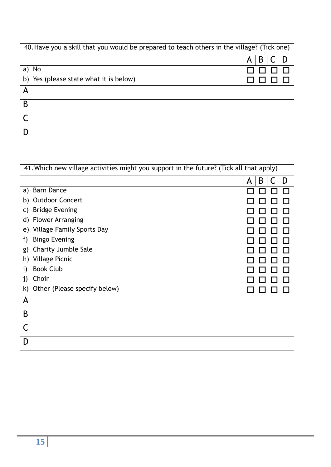| 40. Have you a skill that you would be prepared to teach others in the village? (Tick one) |        |
|--------------------------------------------------------------------------------------------|--------|
|                                                                                            | B<br>Α |
| a) No                                                                                      |        |
| b) Yes (please state what it is below)                                                     |        |
| A                                                                                          |        |
| B                                                                                          |        |
|                                                                                            |        |
|                                                                                            |        |

|    | 41. Which new village activities might you support in the future? (Tick all that apply) |   |   |   |  |
|----|-----------------------------------------------------------------------------------------|---|---|---|--|
|    |                                                                                         | A | B | D |  |
|    | a) Barn Dance                                                                           |   |   |   |  |
| b) | <b>Outdoor Concert</b>                                                                  |   |   |   |  |
| C) | <b>Bridge Evening</b>                                                                   |   |   |   |  |
| d) | <b>Flower Arranging</b>                                                                 |   |   |   |  |
| e) | <b>Village Family Sports Day</b>                                                        |   |   |   |  |
| T) | <b>Bingo Evening</b>                                                                    |   |   |   |  |
| g) | <b>Charity Jumble Sale</b>                                                              |   |   |   |  |
| h) | <b>Village Picnic</b>                                                                   |   |   |   |  |
| 1) | <b>Book Club</b>                                                                        |   |   |   |  |
| 1) | Choir                                                                                   |   |   |   |  |
|    | k) Other (Please specify below)                                                         |   |   |   |  |
| A  |                                                                                         |   |   |   |  |
| B  |                                                                                         |   |   |   |  |
|    |                                                                                         |   |   |   |  |
| D  |                                                                                         |   |   |   |  |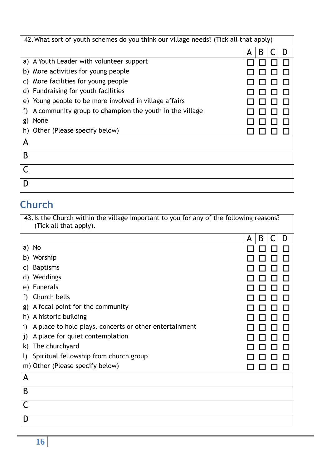| 42. What sort of youth schemes do you think our village needs? (Tick all that apply) |             |
|--------------------------------------------------------------------------------------|-------------|
|                                                                                      | B<br>D<br>A |
| a) A Youth Leader with volunteer support                                             |             |
| More activities for young people<br>b)                                               |             |
| More facilities for young people<br>C)                                               |             |
| d) Fundraising for youth facilities                                                  |             |
| e) Young people to be more involved in village affairs                               |             |
| A community group to champion the youth in the village<br>f)                         |             |
| None<br>g)                                                                           |             |
| Other (Please specify below)<br>h)                                                   |             |
| A                                                                                    |             |
| B                                                                                    |             |
|                                                                                      |             |
|                                                                                      |             |

### **Church**

| 43. Is the Church within the village important to you for any of the following reasons?<br>(Tick all that apply). |             |
|-------------------------------------------------------------------------------------------------------------------|-------------|
|                                                                                                                   | B<br>D<br>A |
| No<br>a)                                                                                                          |             |
| b) Worship                                                                                                        |             |
| <b>Baptisms</b><br>C)                                                                                             |             |
| Weddings<br>d)                                                                                                    |             |
| <b>Funerals</b><br>e)                                                                                             |             |
| Church bells<br>f)                                                                                                |             |
| A focal point for the community<br>g)                                                                             |             |
| h) A historic building                                                                                            |             |
| A place to hold plays, concerts or other entertainment<br>i)                                                      |             |
| A place for quiet contemplation<br>j)                                                                             |             |
| The churchyard<br>k)                                                                                              |             |
| Spiritual fellowship from church group<br>$\mathbf{U}$                                                            |             |
| m) Other (Please specify below)                                                                                   |             |
| A                                                                                                                 |             |
| B                                                                                                                 |             |
| C                                                                                                                 |             |
| D                                                                                                                 |             |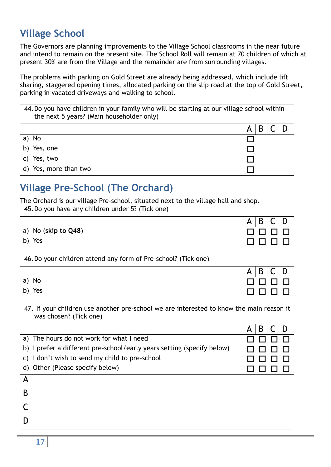#### **Village School**

The Governors are planning improvements to the Village School classrooms in the near future and intend to remain on the present site. The School Roll will remain at 70 children of which at present 30% are from the Village and the remainder are from surrounding villages.

The problems with parking on Gold Street are already being addressed, which include lift sharing, staggered opening times, allocated parking on the slip road at the top of Gold Street, parking in vacated driveways and walking to school.

| 44. Do you have children in your family who will be starting at our village school within<br>the next 5 years? (Main householder only) |  |
|----------------------------------------------------------------------------------------------------------------------------------------|--|
|                                                                                                                                        |  |
| a) No                                                                                                                                  |  |
| b) Yes, one                                                                                                                            |  |
| Yes, two                                                                                                                               |  |
| d) Yes, more than two                                                                                                                  |  |

#### **Village Pre-School (The Orchard)**

The Orchard is our village Pre-school, situated next to the village hall and shop.

| 45. Do you have any children under 5? (Tick one) |                      |
|--------------------------------------------------|----------------------|
|                                                  | B<br>A               |
| $ a $ No (skip to Q48)                           | $\Box$ $\Box$ $\Box$ |
| b) Yes                                           |                      |

| 46. Do your children attend any form of Pre-school? (Tick one) |        |
|----------------------------------------------------------------|--------|
|                                                                | B<br>Α |
| 'a) No                                                         | . .    |
| Yes<br>b)                                                      |        |

| 47. If your children use another pre-school we are interested to know the main reason it<br>was chosen? (Tick one) |        |
|--------------------------------------------------------------------------------------------------------------------|--------|
|                                                                                                                    | B<br>А |
| a) The hours do not work for what I need                                                                           |        |
| I prefer a different pre-school/early years setting (specify below)<br>b)                                          |        |
| c) I don't wish to send my child to pre-school                                                                     |        |
| d) Other (Please specify below)                                                                                    |        |
| А                                                                                                                  |        |
| B                                                                                                                  |        |
|                                                                                                                    |        |
|                                                                                                                    |        |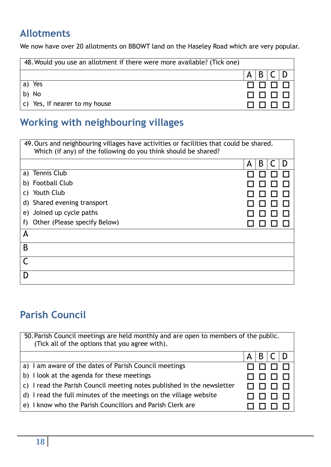#### **Allotments**

We now have over 20 allotments on BBOWT land on the Haseley Road which are very popular.

| 48. Would you use an allotment if there were more available? (Tick one) |   |      |  |
|-------------------------------------------------------------------------|---|------|--|
|                                                                         | А | B/C  |  |
| a) Yes                                                                  |   | 0000 |  |
| b) No                                                                   |   | 0000 |  |
| c) Yes, if nearer to my house                                           |   |      |  |

#### **Working with neighbouring villages**

| 49. Ours and neighbouring villages have activities or facilities that could be shared.<br>Which (if any) of the following do you think should be shared? |        |
|----------------------------------------------------------------------------------------------------------------------------------------------------------|--------|
|                                                                                                                                                          | B<br>A |
| a) Tennis Club                                                                                                                                           |        |
| b) Football Club                                                                                                                                         |        |
| c) Youth Club                                                                                                                                            |        |
| d) Shared evening transport                                                                                                                              |        |
| e) Joined up cycle paths                                                                                                                                 |        |
| Other (Please specify Below)<br>f)                                                                                                                       |        |
| A                                                                                                                                                        |        |
| B                                                                                                                                                        |        |
|                                                                                                                                                          |        |
|                                                                                                                                                          |        |

### **Parish Council**

| 50. Parish Council meetings are held monthly and are open to members of the public.<br>(Tick all of the options that you agree with).<br>B<br>А<br>a) I am aware of the dates of Parish Council meetings<br>b) I look at the agenda for these meetings<br>c) I read the Parish Council meeting notes published in the newsletter |
|----------------------------------------------------------------------------------------------------------------------------------------------------------------------------------------------------------------------------------------------------------------------------------------------------------------------------------|
|                                                                                                                                                                                                                                                                                                                                  |
|                                                                                                                                                                                                                                                                                                                                  |
|                                                                                                                                                                                                                                                                                                                                  |
|                                                                                                                                                                                                                                                                                                                                  |
|                                                                                                                                                                                                                                                                                                                                  |
|                                                                                                                                                                                                                                                                                                                                  |
|                                                                                                                                                                                                                                                                                                                                  |
|                                                                                                                                                                                                                                                                                                                                  |
|                                                                                                                                                                                                                                                                                                                                  |
|                                                                                                                                                                                                                                                                                                                                  |
| d) I read the full minutes of the meetings on the village website                                                                                                                                                                                                                                                                |
|                                                                                                                                                                                                                                                                                                                                  |
| e) I know who the Parish Councillors and Parish Clerk are                                                                                                                                                                                                                                                                        |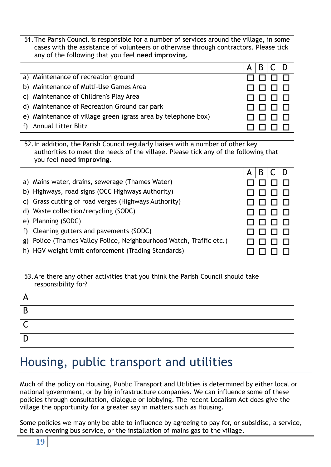| 51. The Parish Council is responsible for a number of services around the village, in some<br>cases with the assistance of volunteers or otherwise through contractors. Please tick<br>any of the following that you feel need improving. |   |  |
|-------------------------------------------------------------------------------------------------------------------------------------------------------------------------------------------------------------------------------------------|---|--|
|                                                                                                                                                                                                                                           | B |  |
| a) Maintenance of recreation ground                                                                                                                                                                                                       |   |  |
| b) Maintenance of Multi-Use Games Area                                                                                                                                                                                                    |   |  |
| c) Maintenance of Children's Play Area                                                                                                                                                                                                    |   |  |
| d) Maintenance of Recreation Ground car park                                                                                                                                                                                              |   |  |
| e) Maintenance of village green (grass area by telephone box)                                                                                                                                                                             |   |  |
| <b>Annual Litter Blitz</b>                                                                                                                                                                                                                |   |  |

|    | 52. In addition, the Parish Council regularly liaises with a number of other key<br>authorities to meet the needs of the village. Please tick any of the following that<br>you feel need improving. |   |   |  |  |
|----|-----------------------------------------------------------------------------------------------------------------------------------------------------------------------------------------------------|---|---|--|--|
|    |                                                                                                                                                                                                     | А | B |  |  |
|    | a) Mains water, drains, sewerage (Thames Water)                                                                                                                                                     |   |   |  |  |
|    | b) Highways, road signs (OCC Highways Authority)                                                                                                                                                    |   |   |  |  |
|    | c) Grass cutting of road verges (Highways Authority)                                                                                                                                                |   |   |  |  |
|    | d) Waste collection/recycling (SODC)                                                                                                                                                                |   |   |  |  |
|    | e) Planning (SODC)                                                                                                                                                                                  |   |   |  |  |
|    | f) Cleaning gutters and pavements (SODC)                                                                                                                                                            |   |   |  |  |
| g) | Police (Thames Valley Police, Neighbourhood Watch, Traffic etc.)                                                                                                                                    |   |   |  |  |
|    | h) HGV weight limit enforcement (Trading Standards)                                                                                                                                                 |   |   |  |  |

| 53. Are there any other activities that you think the Parish Council should take<br>responsibility for? |
|---------------------------------------------------------------------------------------------------------|
|                                                                                                         |
| B                                                                                                       |
|                                                                                                         |
|                                                                                                         |

## Housing, public transport and utilities

Much of the policy on Housing, Public Transport and Utilities is determined by either local or national government, or by big infrastructure companies. We can influence some of these policies through consultation, dialogue or lobbying. The recent Localism Act does give the village the opportunity for a greater say in matters such as Housing.

Some policies we may only be able to influence by agreeing to pay for, or subsidise, a service, be it an evening bus service, or the installation of mains gas to the village.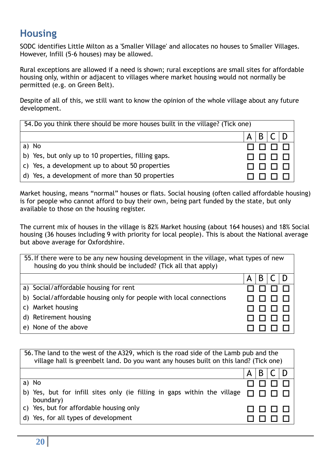#### **Housing**

SODC identifies Little Milton as a 'Smaller Village' and allocates no houses to Smaller Villages. However, Infill (5-6 houses) may be allowed.

Rural exceptions are allowed if a need is shown; rural exceptions are small sites for affordable housing only, within or adjacent to villages where market housing would not normally be permitted (e.g. on Green Belt).

Despite of all of this, we still want to know the opinion of the whole village about any future development.

| 54. Do you think there should be more houses built in the village? (Tick one) |   |  |  |  |
|-------------------------------------------------------------------------------|---|--|--|--|
|                                                                               | А |  |  |  |
| No<br>a)                                                                      |   |  |  |  |
| b) Yes, but only up to 10 properties, filling gaps.                           |   |  |  |  |
| c) Yes, a development up to about 50 properties                               |   |  |  |  |
| d) Yes, a development of more than 50 properties                              |   |  |  |  |

Market housing, means "normal" houses or flats. Social housing (often called affordable housing) is for people who cannot afford to buy their own, being part funded by the state, but only available to those on the housing register.

The current mix of houses in the village is 82% Market housing (about 164 houses) and 18% Social housing (36 houses including 9 with priority for local people). This is about the National average but above average for Oxfordshire.

| 55. If there were to be any new housing development in the village, what types of new<br>housing do you think should be included? (Tick all that apply) |        |
|---------------------------------------------------------------------------------------------------------------------------------------------------------|--------|
|                                                                                                                                                         | В<br>А |
| a) Social/affordable housing for rent                                                                                                                   |        |
| b) Social/affordable housing only for people with local connections                                                                                     |        |
| c) Market housing                                                                                                                                       |        |
| d) Retirement housing                                                                                                                                   |        |
| e) None of the above                                                                                                                                    |        |

| 56. The land to the west of the A329, which is the road side of the Lamb pub and the<br>village hall is greenbelt land. Do you want any houses built on this land? (Tick one) |        |  |  |
|-------------------------------------------------------------------------------------------------------------------------------------------------------------------------------|--------|--|--|
|                                                                                                                                                                               | B<br>А |  |  |
| a) No                                                                                                                                                                         |        |  |  |
| b) Yes, but for infill sites only (ie filling in gaps within the village<br>boundary)                                                                                         |        |  |  |
| c) Yes, but for affordable housing only                                                                                                                                       |        |  |  |
| d) Yes, for all types of development                                                                                                                                          |        |  |  |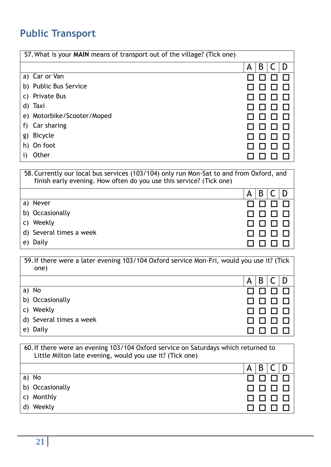#### **Public Transport**

| 57. What is your MAIN means of transport out of the village? (Tick one) |        |
|-------------------------------------------------------------------------|--------|
|                                                                         | B<br>A |
| a) Car or Van                                                           |        |
| b) Public Bus Service                                                   |        |
| <b>Private Bus</b><br>C)                                                |        |
| Taxi<br>d)                                                              |        |
| e) Motorbike/Scooter/Moped                                              |        |
| Car sharing<br>f)                                                       |        |
| <b>Bicycle</b><br>g)                                                    |        |
| On foot<br>h)                                                           |        |
| Other                                                                   |        |

58.Currently our local bus services (103/104) only run Mon-Sat to and from Oxford, and finish early evening. How often do you use this service? (Tick one)

|                         | $\mathsf{A}$ | B |  |
|-------------------------|--------------|---|--|
| a) Never                | 0000         |   |  |
| b) Occasionally         | 0000         |   |  |
| Weekly<br>$\mathsf{C}$  | 0000         |   |  |
| d) Several times a week | 0000         |   |  |
| e) Daily                |              |   |  |

|    | 59. If there were a later evening 103/104 Oxford service Mon-Fri, would you use it? (Tick<br>one) |        |
|----|---------------------------------------------------------------------------------------------------|--------|
|    |                                                                                                   | B<br>A |
|    | a) No                                                                                             |        |
|    | b) Occasionally                                                                                   |        |
|    | c) Weekly                                                                                         |        |
|    | d) Several times a week                                                                           |        |
| e) | Daily                                                                                             |        |

| 60. If there were an evening 103/104 Oxford service on Saturdays which returned to<br>Little Milton late evening, would you use it? (Tick one) |            |  |
|------------------------------------------------------------------------------------------------------------------------------------------------|------------|--|
|                                                                                                                                                | B C D<br>Α |  |
| a) No                                                                                                                                          |            |  |
| b) Occasionally                                                                                                                                |            |  |
| c) Monthly                                                                                                                                     |            |  |
| d) Weekly                                                                                                                                      |            |  |
|                                                                                                                                                |            |  |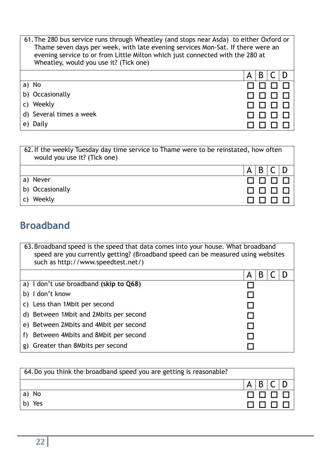| 61. The 280 bus service runs through Wheatley (and stops near Asda) to either Oxford or<br>Thame seven days per week, with late evening services Mon-Sat. If there were an<br>evening service to or from Little Milton which just connected with the 280 at<br>Wheatley, would you use it? (Tick one) |   |   |  |
|-------------------------------------------------------------------------------------------------------------------------------------------------------------------------------------------------------------------------------------------------------------------------------------------------------|---|---|--|
|                                                                                                                                                                                                                                                                                                       | А | B |  |
| a) No                                                                                                                                                                                                                                                                                                 |   |   |  |
| b) Occasionally                                                                                                                                                                                                                                                                                       |   |   |  |
| c) Weekly                                                                                                                                                                                                                                                                                             |   |   |  |
| d) Several times a week                                                                                                                                                                                                                                                                               |   |   |  |
| e) Daily                                                                                                                                                                                                                                                                                              |   |   |  |

|    | 62. If the weekly Tuesday day time service to Thame were to be reinstated, how often<br>would you use it? (Tick one) |   |   |  |  |
|----|----------------------------------------------------------------------------------------------------------------------|---|---|--|--|
|    |                                                                                                                      | A | B |  |  |
|    | a) Never                                                                                                             |   |   |  |  |
|    | b) Occasionally                                                                                                      |   |   |  |  |
| C) | Weekly                                                                                                               |   |   |  |  |

#### **Broadband**

| 63. Broadband speed is the speed that data comes into your house. What broadband<br>speed are you currently getting? (Broadband speed can be measured using websites<br>such as http://www.speedtest.net/) |        |  |
|------------------------------------------------------------------------------------------------------------------------------------------------------------------------------------------------------------|--------|--|
|                                                                                                                                                                                                            | В<br>А |  |
| a) I don't use broadband (skip to Q68)                                                                                                                                                                     |        |  |
| b) I don't know                                                                                                                                                                                            |        |  |
| c) Less than 1 Mbit per second                                                                                                                                                                             |        |  |
| d) Between 1 Mbit and 2 Mbits per second                                                                                                                                                                   |        |  |
| e) Between 2Mbits and 4Mbit per second                                                                                                                                                                     |        |  |
| f) Between 4Mbits and 8Mbit per second                                                                                                                                                                     |        |  |
| g) Greater than 8Mbits per second                                                                                                                                                                          |        |  |

| 64. Do you think the broadband speed you are getting is reasonable? |        |
|---------------------------------------------------------------------|--------|
|                                                                     | B<br>A |
| a) No                                                               | nnn    |
| Yes                                                                 |        |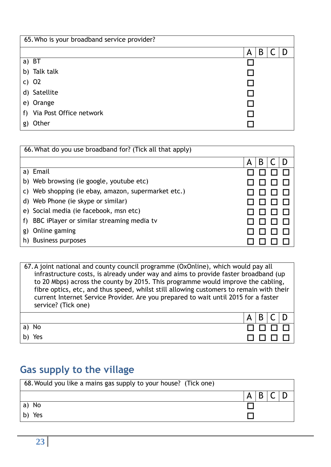| 65. Who is your broadband service provider? |             |
|---------------------------------------------|-------------|
|                                             | B<br>A<br>D |
| a) BT                                       |             |
| b) Talk talk                                |             |
| c) $O2$                                     |             |
| d) Satellite                                |             |
| e) Orange                                   |             |
| f) Via Post Office network                  |             |
| Other<br>g)                                 |             |

| 66. What do you use broadband for? (Tick all that apply) |        |  |  |  |
|----------------------------------------------------------|--------|--|--|--|
|                                                          | B<br>A |  |  |  |
| a) Email                                                 |        |  |  |  |
| b) Web browsing (ie google, youtube etc)                 |        |  |  |  |
| c) Web shopping (ie ebay, amazon, supermarket etc.)      |        |  |  |  |
| d) Web Phone (ie skype or similar)                       |        |  |  |  |
| e) Social media (ie facebook, msn etc)                   |        |  |  |  |
| BBC iPlayer or similar streaming media tv<br>f)          |        |  |  |  |
| Online gaming<br>g)                                      |        |  |  |  |
| <b>Business purposes</b><br>h)                           |        |  |  |  |

| 67. A joint national and county council programme (OxOnline), which would pay all<br>infrastructure costs, is already under way and aims to provide faster broadband (up<br>to 20 Mbps) across the county by 2015. This programme would improve the cabling,<br>fibre optics, etc, and thus speed, whilst still allowing customers to remain with their<br>current Internet Service Provider. Are you prepared to wait until 2015 for a faster<br>service? (Tick one) |   |   |  |
|-----------------------------------------------------------------------------------------------------------------------------------------------------------------------------------------------------------------------------------------------------------------------------------------------------------------------------------------------------------------------------------------------------------------------------------------------------------------------|---|---|--|
|                                                                                                                                                                                                                                                                                                                                                                                                                                                                       | Α | B |  |
| a) No                                                                                                                                                                                                                                                                                                                                                                                                                                                                 |   |   |  |
| Yes                                                                                                                                                                                                                                                                                                                                                                                                                                                                   |   |   |  |

### **Gas supply to the village**

| 68. Would you like a mains gas supply to your house? (Tick one) |  |
|-----------------------------------------------------------------|--|
|                                                                 |  |
| a) No                                                           |  |
| Yes                                                             |  |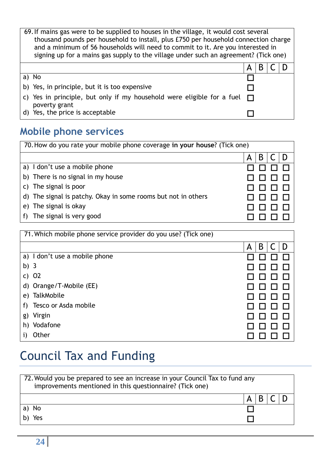| 69. If mains gas were to be supplied to houses in the village, it would cost several<br>thousand pounds per household to install, plus £750 per household connection charge<br>and a minimum of 56 households will need to commit to it. Are you interested in<br>signing up for a mains gas supply to the village under such an agreement? (Tick one) |   |  |  |  |
|--------------------------------------------------------------------------------------------------------------------------------------------------------------------------------------------------------------------------------------------------------------------------------------------------------------------------------------------------------|---|--|--|--|
|                                                                                                                                                                                                                                                                                                                                                        | А |  |  |  |
| a) No                                                                                                                                                                                                                                                                                                                                                  |   |  |  |  |
| b) Yes, in principle, but it is too expensive                                                                                                                                                                                                                                                                                                          |   |  |  |  |
| c) Yes in principle, but only if my household were eligible for a fuel $\Box$<br>poverty grant                                                                                                                                                                                                                                                         |   |  |  |  |
| d) Yes, the price is acceptable                                                                                                                                                                                                                                                                                                                        |   |  |  |  |

## **Mobile phone services**

| 70. How do you rate your mobile phone coverage in your house? (Tick one) |  |  |  |
|--------------------------------------------------------------------------|--|--|--|
|                                                                          |  |  |  |
| a) I don't use a mobile phone                                            |  |  |  |
| b) There is no signal in my house                                        |  |  |  |
| c) The signal is poor                                                    |  |  |  |
| d) The signal is patchy. Okay in some rooms but not in others            |  |  |  |
| e) The signal is okay                                                    |  |  |  |
| The signal is very good<br>f)                                            |  |  |  |

| 71. Which mobile phone service provider do you use? (Tick one) |        |
|----------------------------------------------------------------|--------|
|                                                                | B<br>Α |
| a) I don't use a mobile phone                                  |        |
| b) $3$                                                         |        |
| c) $O2$                                                        |        |
| d) Orange/T-Mobile (EE)                                        |        |
| TalkMobile<br>e)                                               |        |
| Tesco or Asda mobile<br>f)                                     |        |
| Virgin<br>g)                                                   |        |
| Vodafone<br>h)                                                 |        |
| Other                                                          |        |

# Council Tax and Funding

| 72. Would you be prepared to see an increase in your Council Tax to fund any<br>improvements mentioned in this questionnaire? (Tick one) |   |  |  |
|------------------------------------------------------------------------------------------------------------------------------------------|---|--|--|
|                                                                                                                                          | A |  |  |
| a) No                                                                                                                                    |   |  |  |
| Yes                                                                                                                                      |   |  |  |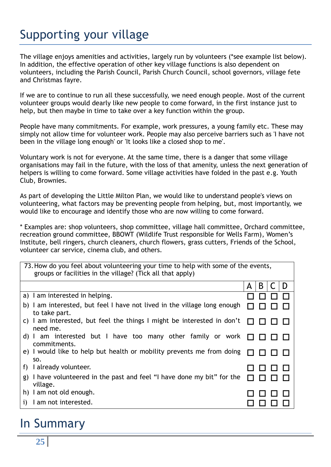# Supporting your village

The village enjoys amenities and activities, largely run by volunteers (\*see example list below). In addition, the effective operation of other key village functions is also dependent on volunteers, including the Parish Council, Parish Church Council, school governors, village fete and Christmas fayre.

If we are to continue to run all these successfully, we need enough people. Most of the current volunteer groups would dearly like new people to come forward, in the first instance just to help, but then maybe in time to take over a key function within the group.

People have many commitments. For example, work pressures, a young family etc. These may simply not allow time for volunteer work. People may also perceive barriers such as 'I have not been in the village long enough' or 'It looks like a closed shop to me'.

Voluntary work is not for everyone. At the same time, there is a danger that some village organisations may fail in the future, with the loss of that amenity, unless the next generation of helpers is willing to come forward. Some village activities have folded in the past e.g. Youth Club, Brownies.

As part of developing the Little Milton Plan, we would like to understand people's views on volunteering, what factors may be preventing people from helping, but, most importantly, we would like to encourage and identify those who are now willing to come forward.

\* Examples are: shop volunteers, shop committee, village hall committee, Orchard committee, recreation ground committee, BBOWT (Wildlife Trust responsible for Wells Farm), Women's Institute, bell ringers, church cleaners, church flowers, grass cutters, Friends of the School, volunteer car service, cinema club, and others.

| 73. How do you feel about volunteering your time to help with some of the events,<br>groups or facilities in the village? (Tick all that apply) |             |
|-------------------------------------------------------------------------------------------------------------------------------------------------|-------------|
|                                                                                                                                                 | B<br>D<br>A |
| a) I am interested in helping.                                                                                                                  |             |
| b) I am interested, but feel I have not lived in the village long enough<br>to take part.                                                       |             |
| c) I am interested, but feel the things I might be interested in don't<br>need me.                                                              |             |
| d) I am interested but I have too many other family or work<br>commitments.                                                                     |             |
| e) I would like to help but health or mobility prevents me from doing<br>SO.                                                                    |             |
| I already volunteer.<br>f)                                                                                                                      |             |
| g) I have volunteered in the past and feel "I have done my bit" for the<br>village.                                                             |             |
| h) I am not old enough.                                                                                                                         |             |
| I am not interested.<br>$\mathbf{1}$                                                                                                            |             |

### In Summary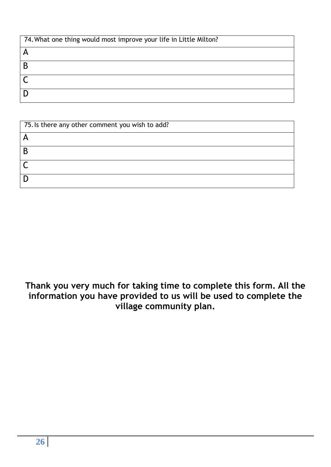| 74. What one thing would most improve your life in Little Milton? |
|-------------------------------------------------------------------|
|                                                                   |
|                                                                   |
|                                                                   |
|                                                                   |

| 75. Is there any other comment you wish to add? |
|-------------------------------------------------|
|                                                 |
|                                                 |
|                                                 |
|                                                 |

**Thank you very much for taking time to complete this form. All the information you have provided to us will be used to complete the village community plan.**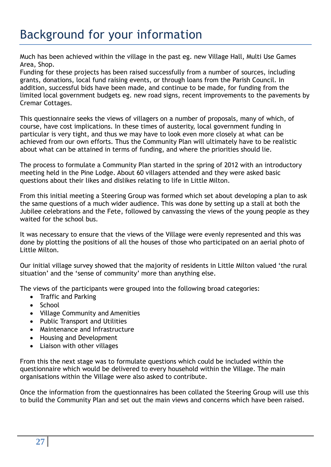## Background for your information

Much has been achieved within the village in the past eg. new Village Hall, Multi Use Games Area, Shop.

Funding for these projects has been raised successfully from a number of sources, including grants, donations, local fund raising events, or through loans from the Parish Council. In addition, successful bids have been made, and continue to be made, for funding from the limited local government budgets eg. new road signs, recent improvements to the pavements by Cremar Cottages.

This questionnaire seeks the views of villagers on a number of proposals, many of which, of course, have cost implications. In these times of austerity, local government funding in particular is very tight, and thus we may have to look even more closely at what can be achieved from our own efforts. Thus the Community Plan will ultimately have to be realistic about what can be attained in terms of funding, and where the priorities should lie.

The process to formulate a Community Plan started in the spring of 2012 with an introductory meeting held in the Pine Lodge. About 60 villagers attended and they were asked basic questions about their likes and dislikes relating to life in Little Milton.

From this initial meeting a Steering Group was formed which set about developing a plan to ask the same questions of a much wider audience. This was done by setting up a stall at both the Jubilee celebrations and the Fete, followed by canvassing the views of the young people as they waited for the school bus.

It was necessary to ensure that the views of the Village were evenly represented and this was done by plotting the positions of all the houses of those who participated on an aerial photo of Little Milton.

Our initial village survey showed that the majority of residents in Little Milton valued 'the rural situation' and the 'sense of community' more than anything else.

The views of the participants were grouped into the following broad categories:

- Traffic and Parking
- School
- Village Community and Amenities
- Public Transport and Utilities
- Maintenance and Infrastructure
- Housing and Development
- Liaison with other villages

From this the next stage was to formulate questions which could be included within the questionnaire which would be delivered to every household within the Village. The main organisations within the Village were also asked to contribute.

Once the information from the questionnaires has been collated the Steering Group will use this to build the Community Plan and set out the main views and concerns which have been raised.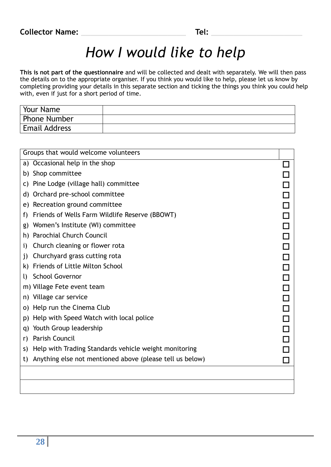| Your Name            |  |
|----------------------|--|
| <b>Phone Number</b>  |  |
| <b>Email Address</b> |  |

| Groups that would welcome volunteers                           |  |
|----------------------------------------------------------------|--|
| Occasional help in the shop<br>a)                              |  |
| Shop committee<br>b)                                           |  |
| Pine Lodge (village hall) committee<br>C)                      |  |
| Orchard pre-school committee<br>d)                             |  |
| Recreation ground committee<br>e)                              |  |
| Friends of Wells Farm Wildlife Reserve (BBOWT)<br>f)           |  |
| Women's Institute (WI) committee<br>g)                         |  |
| <b>Parochial Church Council</b><br>h)                          |  |
| Church cleaning or flower rota<br>i)                           |  |
| Churchyard grass cutting rota<br>j)                            |  |
| Friends of Little Milton School<br>k)                          |  |
| <b>School Governor</b><br>I)                                   |  |
| m) Village Fete event team                                     |  |
| Village car service<br>n)                                      |  |
| Help run the Cinema Club<br>O)                                 |  |
| Help with Speed Watch with local police<br>p)                  |  |
| Youth Group leadership<br>q)                                   |  |
| Parish Council<br>r)                                           |  |
| Help with Trading Standards vehicle weight monitoring<br>S)    |  |
| Anything else not mentioned above (please tell us below)<br>t) |  |
|                                                                |  |
|                                                                |  |
|                                                                |  |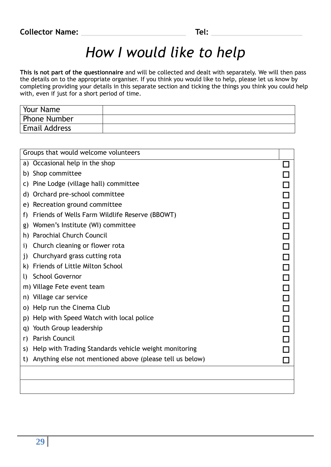| Your Name            |  |
|----------------------|--|
| <b>Phone Number</b>  |  |
| <b>Email Address</b> |  |

| Groups that would welcome volunteers                           |  |
|----------------------------------------------------------------|--|
| Occasional help in the shop<br>a)                              |  |
| Shop committee<br>b)                                           |  |
| Pine Lodge (village hall) committee<br>C)                      |  |
| Orchard pre-school committee<br>d)                             |  |
| Recreation ground committee<br>e)                              |  |
| Friends of Wells Farm Wildlife Reserve (BBOWT)<br>f)           |  |
| Women's Institute (WI) committee<br>g)                         |  |
| Parochial Church Council<br>h)                                 |  |
| Church cleaning or flower rota<br>i)                           |  |
| Churchyard grass cutting rota<br>$\mathbf{j}$                  |  |
| <b>Friends of Little Milton School</b><br>k)                   |  |
| <b>School Governor</b><br>I)                                   |  |
| m) Village Fete event team                                     |  |
| Village car service<br>n)                                      |  |
| Help run the Cinema Club<br>O)                                 |  |
| Help with Speed Watch with local police<br>p)                  |  |
| Youth Group leadership<br>q)                                   |  |
| Parish Council<br>r)                                           |  |
| Help with Trading Standards vehicle weight monitoring<br>S)    |  |
| Anything else not mentioned above (please tell us below)<br>t) |  |
|                                                                |  |
|                                                                |  |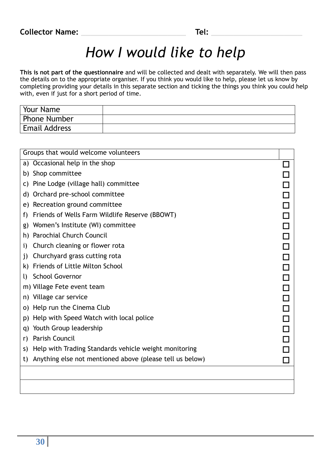| Your Name            |  |
|----------------------|--|
| <b>Phone Number</b>  |  |
| <b>Email Address</b> |  |

| Groups that would welcome volunteers                           |  |
|----------------------------------------------------------------|--|
| a) Occasional help in the shop                                 |  |
| Shop committee<br>b)                                           |  |
| Pine Lodge (village hall) committee<br>C)                      |  |
| Orchard pre-school committee<br>d)                             |  |
| Recreation ground committee<br>e)                              |  |
| Friends of Wells Farm Wildlife Reserve (BBOWT)<br>f)           |  |
| Women's Institute (WI) committee<br>g)                         |  |
| <b>Parochial Church Council</b><br>h)                          |  |
| Church cleaning or flower rota<br>i)                           |  |
| Churchyard grass cutting rota<br>j)                            |  |
| <b>Friends of Little Milton School</b><br>k)                   |  |
| <b>School Governor</b><br>I)                                   |  |
| m) Village Fete event team                                     |  |
| Village car service<br>n)                                      |  |
| Help run the Cinema Club<br>O)                                 |  |
| Help with Speed Watch with local police<br>p)                  |  |
| Youth Group leadership<br>q)                                   |  |
| Parish Council<br>r)                                           |  |
| Help with Trading Standards vehicle weight monitoring<br>S)    |  |
| Anything else not mentioned above (please tell us below)<br>t) |  |
|                                                                |  |
|                                                                |  |
|                                                                |  |